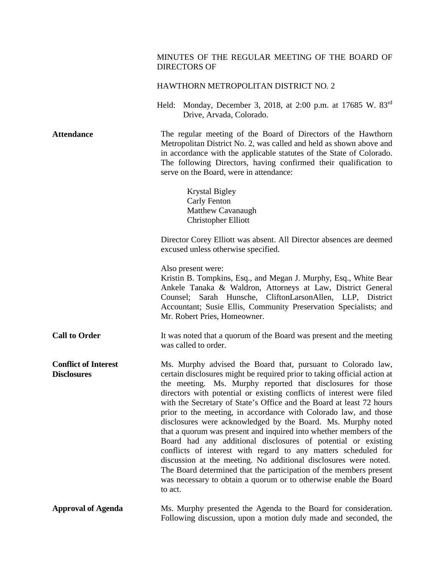# MINUTES OF THE REGULAR MEETING OF THE BOARD OF DIRECTORS OF

## HAWTHORN METROPOLITAN DISTRICT NO. 2

Held: Monday, December 3, 2018, at 2:00 p.m. at 17685 W. 83rd Drive, Arvada, Colorado.

**Attendance** The regular meeting of the Board of Directors of the Hawthorn Metropolitan District No. 2, was called and held as shown above and in accordance with the applicable statutes of the State of Colorado. The following Directors, having confirmed their qualification to serve on the Board, were in attendance:

> Krystal Bigley Carly Fenton Matthew Cavanaugh Christopher Elliott

Director Corey Elliott was absent. All Director absences are deemed excused unless otherwise specified.

Also present were:

Kristin B. Tompkins, Esq., and Megan J. Murphy, Esq., White Bear Ankele Tanaka & Waldron, Attorneys at Law, District General Counsel; Sarah Hunsche, CliftonLarsonAllen, LLP, District Accountant; Susie Ellis, Community Preservation Specialists; and Mr. Robert Pries, Homeowner.

**Call to Order** It was noted that a quorum of the Board was present and the meeting was called to order.

**Conflict of Interest Disclosures** Ms. Murphy advised the Board that, pursuant to Colorado law, certain disclosures might be required prior to taking official action at the meeting. Ms. Murphy reported that disclosures for those directors with potential or existing conflicts of interest were filed with the Secretary of State's Office and the Board at least 72 hours prior to the meeting, in accordance with Colorado law, and those disclosures were acknowledged by the Board. Ms. Murphy noted that a quorum was present and inquired into whether members of the Board had any additional disclosures of potential or existing conflicts of interest with regard to any matters scheduled for discussion at the meeting. No additional disclosures were noted. The Board determined that the participation of the members present was necessary to obtain a quorum or to otherwise enable the Board to act.

**Approval of Agenda** Ms. Murphy presented the Agenda to the Board for consideration. Following discussion, upon a motion duly made and seconded, the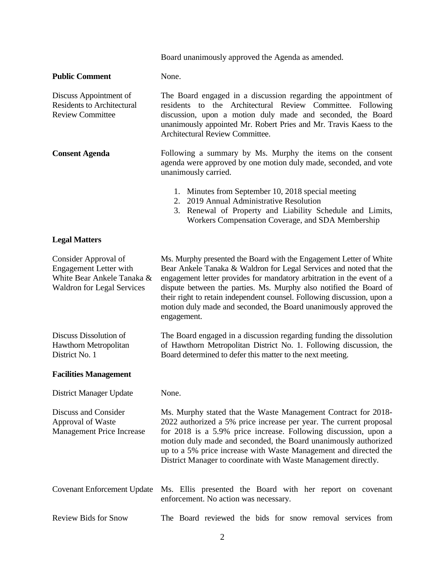Board unanimously approved the Agenda as amended.

#### **Public Comment** None.

Discuss Appointment of Residents to Architectural Review Committee The Board engaged in a discussion regarding the appointment of residents to the Architectural Review Committee. Following discussion, upon a motion duly made and seconded, the Board unanimously appointed Mr. Robert Pries and Mr. Travis Kaess to the Architectural Review Committee.

**Consent Agenda** Following a summary by Ms. Murphy the items on the consent agenda were approved by one motion duly made, seconded, and vote unanimously carried.

- 1. Minutes from September 10, 2018 special meeting
- 2. 2019 Annual Administrative Resolution
- 3. Renewal of Property and Liability Schedule and Limits, Workers Compensation Coverage, and SDA Membership

### **Legal Matters**

Consider Approval of Engagement Letter with White Bear Ankele Tanaka & Waldron for Legal Services

Ms. Murphy presented the Board with the Engagement Letter of White Bear Ankele Tanaka & Waldron for Legal Services and noted that the engagement letter provides for mandatory arbitration in the event of a dispute between the parties. Ms. Murphy also notified the Board of their right to retain independent counsel. Following discussion, upon a motion duly made and seconded, the Board unanimously approved the engagement.

The Board engaged in a discussion regarding funding the dissolution of Hawthorn Metropolitan District No. 1. Following discussion, the Board determined to defer this matter to the next meeting.

#### **Facilities Management**

Discuss Dissolution of Hawthorn Metropolitan

District No. 1

District Manager Update None.

Discuss and Consider Approval of Waste Management Price Increase Ms. Murphy stated that the Waste Management Contract for 2018- 2022 authorized a 5% price increase per year. The current proposal for 2018 is a 5.9% price increase. Following discussion, upon a motion duly made and seconded, the Board unanimously authorized up to a 5% price increase with Waste Management and directed the District Manager to coordinate with Waste Management directly.

Covenant Enforcement Update Ms. Ellis presented the Board with her report on covenant enforcement. No action was necessary.

Review Bids for Snow The Board reviewed the bids for snow removal services from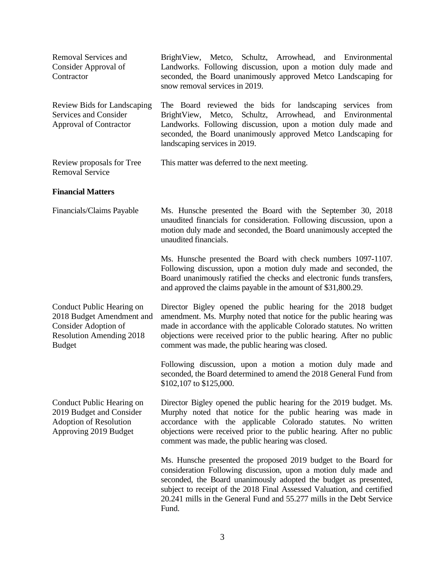| Removal Services and<br>Consider Approval of<br>Contractor                                                                         | BrightView, Metco, Schultz, Arrowhead, and Environmental<br>Landworks. Following discussion, upon a motion duly made and<br>seconded, the Board unanimously approved Metco Landscaping for<br>snow removal services in 2019.                                                                                                                                       |
|------------------------------------------------------------------------------------------------------------------------------------|--------------------------------------------------------------------------------------------------------------------------------------------------------------------------------------------------------------------------------------------------------------------------------------------------------------------------------------------------------------------|
| Review Bids for Landscaping<br>Services and Consider<br><b>Approval of Contractor</b>                                              | The Board reviewed the bids for landscaping services from<br>Schultz,<br>Arrowhead,<br>and<br>BrightView,<br>Metco,<br>Environmental<br>Landworks. Following discussion, upon a motion duly made and<br>seconded, the Board unanimously approved Metco Landscaping for<br>landscaping services in 2019.                                                            |
| Review proposals for Tree<br><b>Removal Service</b>                                                                                | This matter was deferred to the next meeting.                                                                                                                                                                                                                                                                                                                      |
| <b>Financial Matters</b>                                                                                                           |                                                                                                                                                                                                                                                                                                                                                                    |
| Financials/Claims Payable                                                                                                          | Ms. Hunsche presented the Board with the September 30, 2018<br>unaudited financials for consideration. Following discussion, upon a<br>motion duly made and seconded, the Board unanimously accepted the<br>unaudited financials.                                                                                                                                  |
|                                                                                                                                    | Ms. Hunsche presented the Board with check numbers 1097-1107.<br>Following discussion, upon a motion duly made and seconded, the<br>Board unanimously ratified the checks and electronic funds transfers,<br>and approved the claims payable in the amount of \$31,800.29.                                                                                         |
| Conduct Public Hearing on<br>2018 Budget Amendment and<br>Consider Adoption of<br><b>Resolution Amending 2018</b><br><b>Budget</b> | Director Bigley opened the public hearing for the 2018 budget<br>amendment. Ms. Murphy noted that notice for the public hearing was<br>made in accordance with the applicable Colorado statutes. No written<br>objections were received prior to the public hearing. After no public<br>comment was made, the public hearing was closed.                           |
|                                                                                                                                    | Following discussion, upon a motion a motion duly made and<br>seconded, the Board determined to amend the 2018 General Fund from<br>\$102,107 to \$125,000.                                                                                                                                                                                                        |
| Conduct Public Hearing on<br>2019 Budget and Consider<br><b>Adoption of Resolution</b><br>Approving 2019 Budget                    | Director Bigley opened the public hearing for the 2019 budget. Ms.<br>Murphy noted that notice for the public hearing was made in<br>accordance with the applicable Colorado statutes. No written<br>objections were received prior to the public hearing. After no public<br>comment was made, the public hearing was closed.                                     |
|                                                                                                                                    | Ms. Hunsche presented the proposed 2019 budget to the Board for<br>consideration Following discussion, upon a motion duly made and<br>seconded, the Board unanimously adopted the budget as presented,<br>subject to receipt of the 2018 Final Assessed Valuation, and certified<br>20.241 mills in the General Fund and 55.277 mills in the Debt Service<br>Fund. |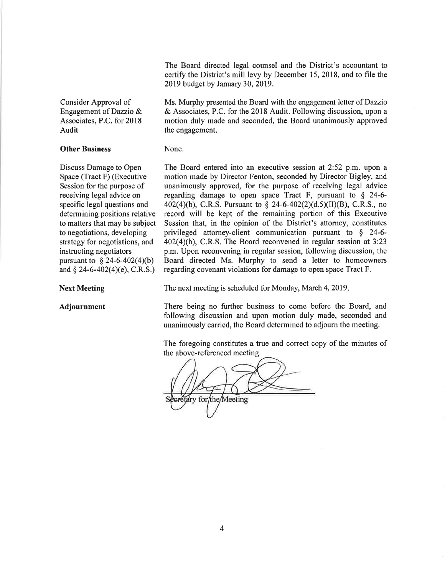The Board directed legal counsel and the District's accountant to certify the District's mill levy by December 15, 2018, and to file the 2019 budget by January 30, 2019.

Consider Approval of Engagement of Dazzio & Associates, P.C. for 2018 Audit

## **Other Business**

Discuss Damage to Open Space (Tract F) (Executive Session for the purpose of receiving legal advice on specific legal questions and determining positions relative to matters that may be subject to negotiations, developing strategy for negotiations, and instructing negotiators pursuant to  $\S$  24-6-402(4)(b) and  $\S$  24-6-402(4)(e), C.R.S.)

#### **Next Meeting**

Adjournment

Ms. Murphy presented the Board with the engagement letter of Dazzio & Associates, P.C. for the 2018 Audit. Following discussion, upon a motion duly made and seconded, the Board unanimously approved the engagement.

### None.

The Board entered into an executive session at 2:52 p.m. upon a motion made by Director Fenton, seconded by Director Bigley, and unanimously approved, for the purpose of receiving legal advice regarding damage to open space Tract F, pursuant to  $\S$  24-6-402(4)(b), C.R.S. Pursuant to § 24-6-402(2)(d.5)(II)(B), C.R.S., no record will be kept of the remaining portion of this Executive Session that, in the opinion of the District's attorney, constitutes privileged attorney-client communication pursuant to  $\S$  24-6- $402(4)(b)$ , C.R.S. The Board reconvened in regular session at 3:23 p.m. Upon reconvening in regular session, following discussion, the Board directed Ms. Murphy to send a letter to homeowners regarding covenant violations for damage to open space Tract F.

The next meeting is scheduled for Monday, March 4, 2019.

There being no further business to come before the Board, and following discussion and upon motion duly made, seconded and unanimously carried, the Board determined to adjourn the meeting.

The foregoing constitutes a true and correct copy of the minutes of the above-referenced meeting.

retary for/the/Meeting